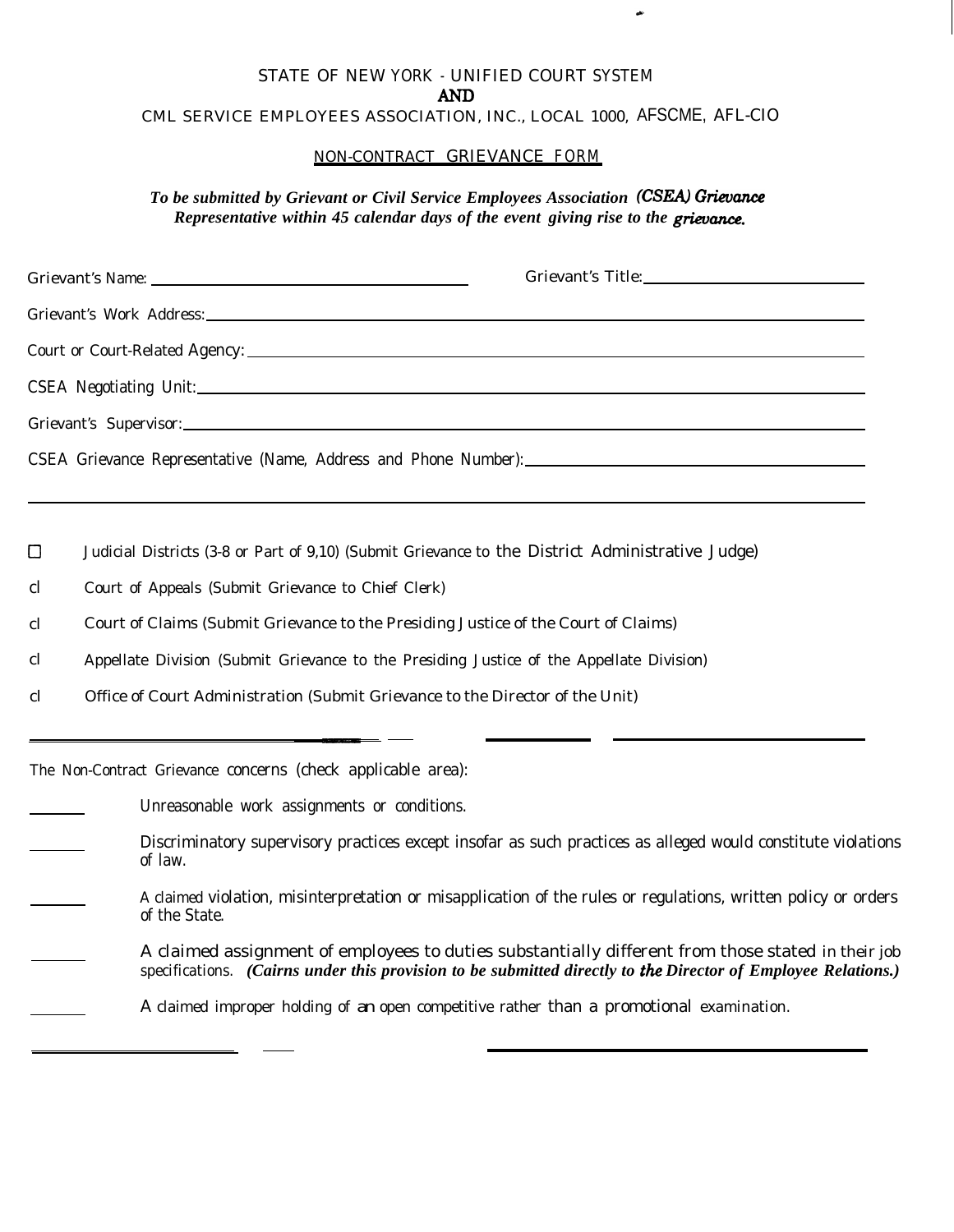## STATE OF NEW YORK - UNIFIED COURT SYSTEM **AND** CML SERVICE EMPLOYEES ASSOCIATION, INC., LOCAL 1000, AFSCME, AFL-CIO

## NON-CONTRACT GRIEVANCE FORM

To be submitted by Grievant or Civil Service Employees Association (CSEA) Grievance *Representative within 45 calendar days of the event giving rise to the grievnce-.*

| Grievant's Name: 1988 and 1988 and 1988 and 1988 and 1988 and 1988 and 1988 and 1988 and 1988 and 1988 and 198 | Grievant's Title: |
|----------------------------------------------------------------------------------------------------------------|-------------------|
|                                                                                                                |                   |
|                                                                                                                |                   |
|                                                                                                                |                   |
|                                                                                                                |                   |
|                                                                                                                |                   |

cl Judicial Districts (3-8 or Part of 9,10) (Submit Grievance to the District Administrative Judge)

cl Court of Appeals (Submit Grievance to Chief Clerk)

cl Court of Claims (Submit Grievance to the Presiding Justice of the Court of Claims)

cl Appellate Division (Submit Grievance to the Presiding Justice of the Appellate Division)

cl Office of Court Administration (Submit Grievance to the Director of the Unit)

The Non-Contract Grievance concerns (check applicable area):

Unreasonable work assignments or conditions.

Discriminatory supervisory practices except insofar as such practices as alleged would constitute violations of law.

- A claimed violation, misinterpretation or misapplication of the rules or regulations, written policy or orders of the State.
- A claimed assignment of employees to duties substantially different from those stated in their job specifications. *(Cairns under this provision to be submitted directly to* the *Director of Employee Relations.)*

A claimed improper holding of an open competitive rather than a promotional examination.